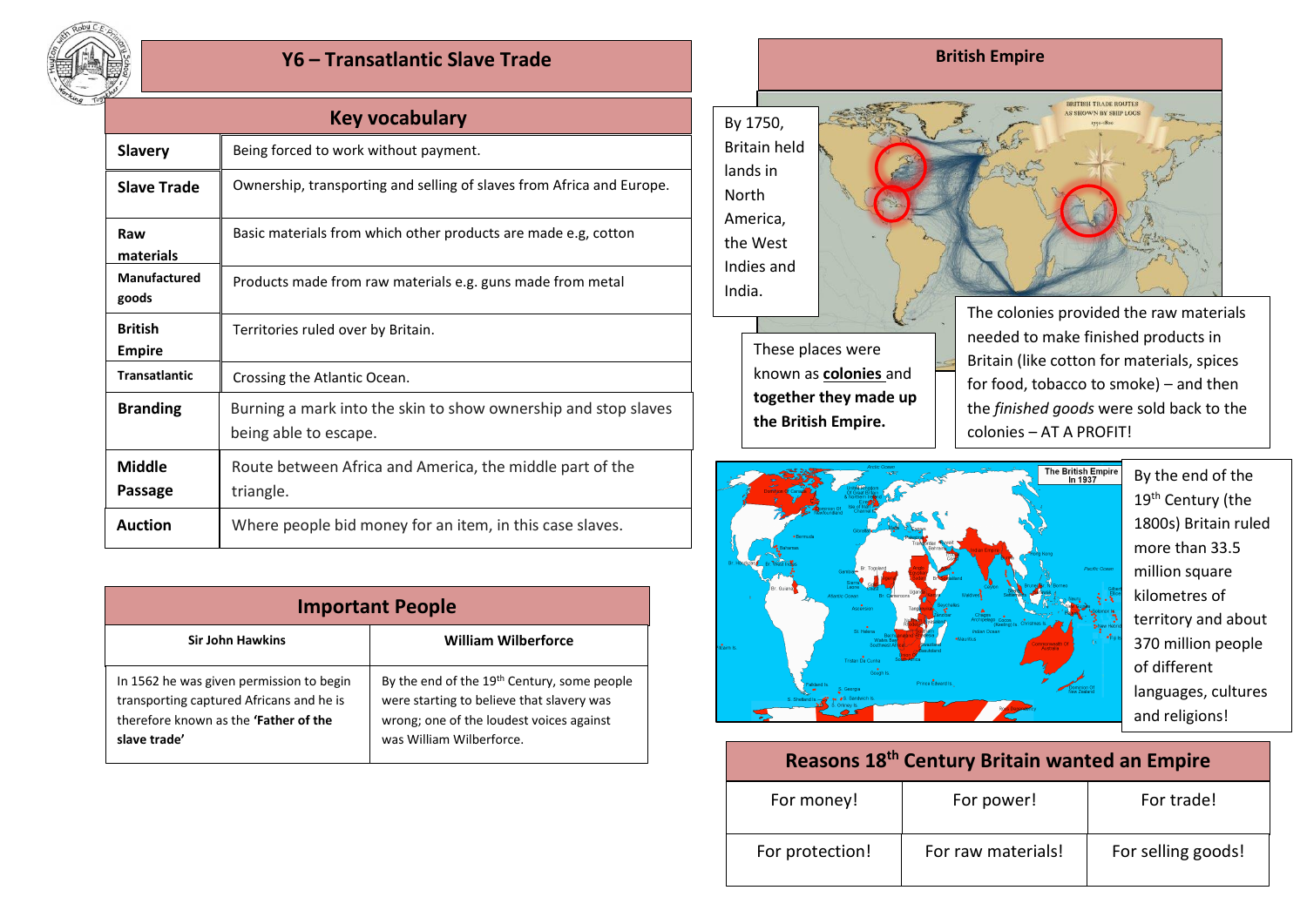

## **Y6 – Transatlantic Slave Trade**

| Key vocabulary                  |                                                                                         |  |  |
|---------------------------------|-----------------------------------------------------------------------------------------|--|--|
| <b>Slavery</b>                  | Being forced to work without payment.                                                   |  |  |
| <b>Slave Trade</b>              | Ownership, transporting and selling of slaves from Africa and Europe.                   |  |  |
| Raw<br>materials                | Basic materials from which other products are made e.g, cotton                          |  |  |
| Manufactured<br>goods           | Products made from raw materials e.g. guns made from metal                              |  |  |
| <b>British</b><br><b>Empire</b> | Territories ruled over by Britain.                                                      |  |  |
| <b>Transatlantic</b>            | Crossing the Atlantic Ocean.                                                            |  |  |
| <b>Branding</b>                 | Burning a mark into the skin to show ownership and stop slaves<br>being able to escape. |  |  |
| <b>Middle</b><br>Passage        | Route between Africa and America, the middle part of the<br>triangle.                   |  |  |
| <b>Auction</b>                  | Where people bid money for an item, in this case slaves.                                |  |  |

| <b>Important People</b>                                                                                                                              |                                                                                                                                                                              |  |  |
|------------------------------------------------------------------------------------------------------------------------------------------------------|------------------------------------------------------------------------------------------------------------------------------------------------------------------------------|--|--|
| <b>Sir John Hawkins</b>                                                                                                                              | <b>William Wilberforce</b>                                                                                                                                                   |  |  |
| In 1562 he was given permission to begin<br>transporting captured Africans and he is<br>therefore known as the <b>'Father of the</b><br>slave trade' | By the end of the 19 <sup>th</sup> Century, some people<br>were starting to believe that slavery was<br>wrong; one of the loudest voices against<br>was William Wilberforce. |  |  |



These places were known as **colonies** and **together they made up the British Empire.**

The colonies provided the raw materials needed to make finished products in Britain (like cotton for materials, spices for food, tobacco to smoke) – and then the *finished goods* were sold back to the colonies – AT A PROFIT!

BRITISH TRADE ROUTES AS SHOWN BY SHIP LOGS



By the end of the 19<sup>th</sup> Century (the 1800s) Britain ruled more than 33.5 million square kilometres of territory and about 370 million people of different languages, cultures and religions!

## **Reasons 18th Century Britain wanted an Empire**

| For money!      | For power!         | For trade!         |
|-----------------|--------------------|--------------------|
| For protection! | For raw materials! | For selling goods! |

## **British Empire**